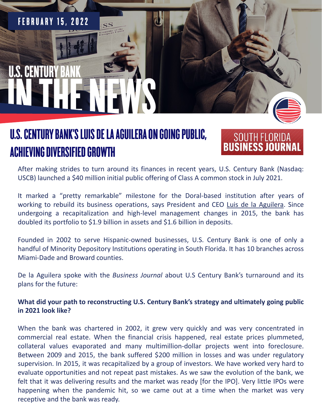# **FEBRUARY 15, 2022 U.S. CENTURY B**

### **U.S. CENTURY BANK'S LUIS DE LA AGUILERA ON GOING PUBLIC, ACHIEVING DIVERSIFIED GROWTH**

## SOUTH FLORIDA

After making strides to turn around its finances in recent years, U.S. Century Bank (Nasdaq: USCB) launched a \$40 million initial public offering of Class A common stock in July 2021.

It marked a "pretty remarkable" milestone for the Doral-based institution after years of working to rebuild its business operations, says President and CEO Luis de la [Aguilera.](https://www.bizjournals.com/southflorida/search/results?q=Luis%20de%20la%20Aguilera) Since undergoing a recapitalization and high-level management changes in 2015, the bank has doubled its portfolio to \$1.9 billion in assets and \$1.6 billion in deposits.

Founded in 2002 to serve Hispanic-owned businesses, U.S. Century Bank is one of only a handful of Minority Depository Institutions operating in South Florida. It has 10 branches across Miami-Dade and Broward counties.

De la Aguilera spoke with the *Business Journal* about U.S Century Bank's turnaround and its plans for the future:

**What did your path to reconstructing U.S. Century Bank's strategy and ultimately going public in 2021 look like?**

When the bank was chartered in 2002, it grew very quickly and was very concentrated in commercial real estate. When the financial crisis happened, real estate prices plummeted, collateral values evaporated and many multimillion-dollar projects went into foreclosure. Between 2009 and 2015, the bank suffered \$200 million in losses and was under regulatory supervision. In 2015, it was recapitalized by a group of investors. We have worked very hard to evaluate opportunities and not repeat past mistakes. As we saw the evolution of the bank, we felt that it was delivering results and the market was ready [for the IPO]. Very little IPOs were happening when the pandemic hit, so we came out at a time when the market was very receptive and the bank was ready.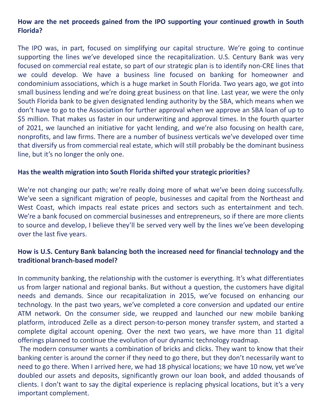#### **How are the net proceeds gained from the IPO supporting your continued growth in South Florida?**

The IPO was, in part, focused on simplifying our capital structure. We're going to continue supporting the lines we've developed since the recapitalization. U.S. Century Bank was very focused on commercial real estate, so part of our strategic plan is to identify non-CRE lines that we could develop. We have a business line focused on banking for homeowner and condominium associations, which is a huge market in South Florida. Two years ago, we got into small business lending and we're doing great business on that line. Last year, we were the only South Florida bank to be given designated lending authority by the SBA, which means when we don't have to go to the Association for further approval when we approve an SBA loan of up to \$5 million. That makes us faster in our underwriting and approval times. In the fourth quarter of 2021, we launched an initiative for yacht lending, and we're also focusing on health care, nonprofits, and law firms. There are a number of business verticals we've developed over time that diversify us from commercial real estate, which will still probably be the dominant business line, but it's no longer the only one.

#### **Has the wealth migration into South Florida shifted your strategic priorities?**

We're not changing our path; we're really doing more of what we've been doing successfully. We've seen a significant migration of people, businesses and capital from the Northeast and West Coast, which impacts real estate prices and sectors such as entertainment and tech. We're a bank focused on commercial businesses and entrepreneurs, so if there are more clients to source and develop, I believe they'll be served very well by the lines we've been developing over the last five years.

#### **How is U.S. Century Bank balancing both the increased need for financial technology and the traditional branch-based model?**

In community banking, the relationship with the customer is everything. It's what differentiates us from larger national and regional banks. But without a question, the customers have digital needs and demands. Since our recapitalization in 2015, we've focused on enhancing our technology. In the past two years, we've completed a core conversion and updated our entire ATM network. On the consumer side, we reupped and launched our new mobile banking platform, introduced Zelle as a direct person-to-person money transfer system, and started a complete digital account opening. Over the next two years, we have more than 11 digital offerings planned to continue the evolution of our dynamic technology roadmap.

The modern consumer wants a combination of bricks and clicks. They want to know that their banking center is around the corner if they need to go there, but they don't necessarily want to need to go there. When I arrived here, we had 18 physical locations; we have 10 now, yet we've doubled our assets and deposits, significantly grown our loan book, and added thousands of clients. I don't want to say the digital experience is replacing physical locations, but it's a very important complement.